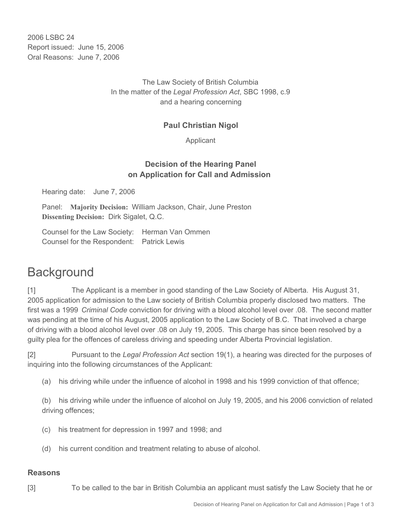2006 LSBC 24 Report issued: June 15, 2006 Oral Reasons: June 7, 2006

> The Law Society of British Columbia In the matter of the *Legal Profession Act*, SBC 1998, c.9 and a hearing concerning

### **Paul Christian Nigol**

Applicant

## **Decision of the Hearing Panel on Application for Call and Admission**

Hearing date: June 7, 2006

Panel: **Majority Decision:** William Jackson, Chair, June Preston **Dissenting Decision:** Dirk Sigalet, Q.C.

Counsel for the Law Society: Herman Van Ommen Counsel for the Respondent: Patrick Lewis

## **Background**

[1] The Applicant is a member in good standing of the Law Society of Alberta. His August 31, 2005 application for admission to the Law society of British Columbia properly disclosed two matters. The first was a 1999 *Criminal Code* conviction for driving with a blood alcohol level over .08. The second matter was pending at the time of his August, 2005 application to the Law Society of B.C. That involved a charge of driving with a blood alcohol level over .08 on July 19, 2005. This charge has since been resolved by a guilty plea for the offences of careless driving and speeding under Alberta Provincial legislation.

[2] Pursuant to the *Legal Profession Act* section 19(1), a hearing was directed for the purposes of inquiring into the following circumstances of the Applicant:

(a) his driving while under the influence of alcohol in 1998 and his 1999 conviction of that offence;

(b) his driving while under the influence of alcohol on July 19, 2005, and his 2006 conviction of related driving offences;

- (c) his treatment for depression in 1997 and 1998; and
- (d) his current condition and treatment relating to abuse of alcohol.

#### **Reasons**

- 
- [3] To be called to the bar in British Columbia an applicant must satisfy the Law Society that he or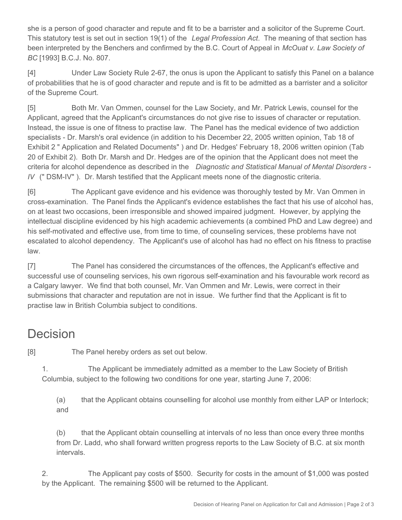she is a person of good character and repute and fit to be a barrister and a solicitor of the Supreme Court. This statutory test is set out in section 19(1) of the *Legal Profession Act*. The meaning of that section has been interpreted by the Benchers and confirmed by the B.C. Court of Appeal in *McOuat v. Law Society of BC* [1993] B.C.J. No. 807.

[4] Under Law Society Rule 2-67, the onus is upon the Applicant to satisfy this Panel on a balance of probabilities that he is of good character and repute and is fit to be admitted as a barrister and a solicitor of the Supreme Court.

[5] Both Mr. Van Ommen, counsel for the Law Society, and Mr. Patrick Lewis, counsel for the Applicant, agreed that the Applicant's circumstances do not give rise to issues of character or reputation. Instead, the issue is one of fitness to practise law. The Panel has the medical evidence of two addiction specialists - Dr. Marsh's oral evidence (in addition to his December 22, 2005 written opinion, Tab 18 of Exhibit 2 " Application and Related Documents" ) and Dr. Hedges' February 18, 2006 written opinion (Tab 20 of Exhibit 2). Both Dr. Marsh and Dr. Hedges are of the opinion that the Applicant does not meet the criteria for alcohol dependence as described in the *Diagnostic and Statistical Manual of Mental Disorders - IV* (" DSM-IV" ). Dr. Marsh testified that the Applicant meets none of the diagnostic criteria.

[6] The Applicant gave evidence and his evidence was thoroughly tested by Mr. Van Ommen in cross-examination. The Panel finds the Applicant's evidence establishes the fact that his use of alcohol has, on at least two occasions, been irresponsible and showed impaired judgment. However, by applying the intellectual discipline evidenced by his high academic achievements (a combined PhD and Law degree) and his self-motivated and effective use, from time to time, of counseling services, these problems have not escalated to alcohol dependency. The Applicant's use of alcohol has had no effect on his fitness to practise law.

[7] The Panel has considered the circumstances of the offences, the Applicant's effective and successful use of counseling services, his own rigorous self-examination and his favourable work record as a Calgary lawyer. We find that both counsel, Mr. Van Ommen and Mr. Lewis, were correct in their submissions that character and reputation are not in issue. We further find that the Applicant is fit to practise law in British Columbia subject to conditions.

# **Decision**

[8] The Panel hereby orders as set out below.

1. The Applicant be immediately admitted as a member to the Law Society of British Columbia, subject to the following two conditions for one year, starting June 7, 2006:

(a) that the Applicant obtains counselling for alcohol use monthly from either LAP or Interlock; and

(b) that the Applicant obtain counselling at intervals of no less than once every three months from Dr. Ladd, who shall forward written progress reports to the Law Society of B.C. at six month intervals.

2. The Applicant pay costs of \$500. Security for costs in the amount of \$1,000 was posted by the Applicant. The remaining \$500 will be returned to the Applicant.